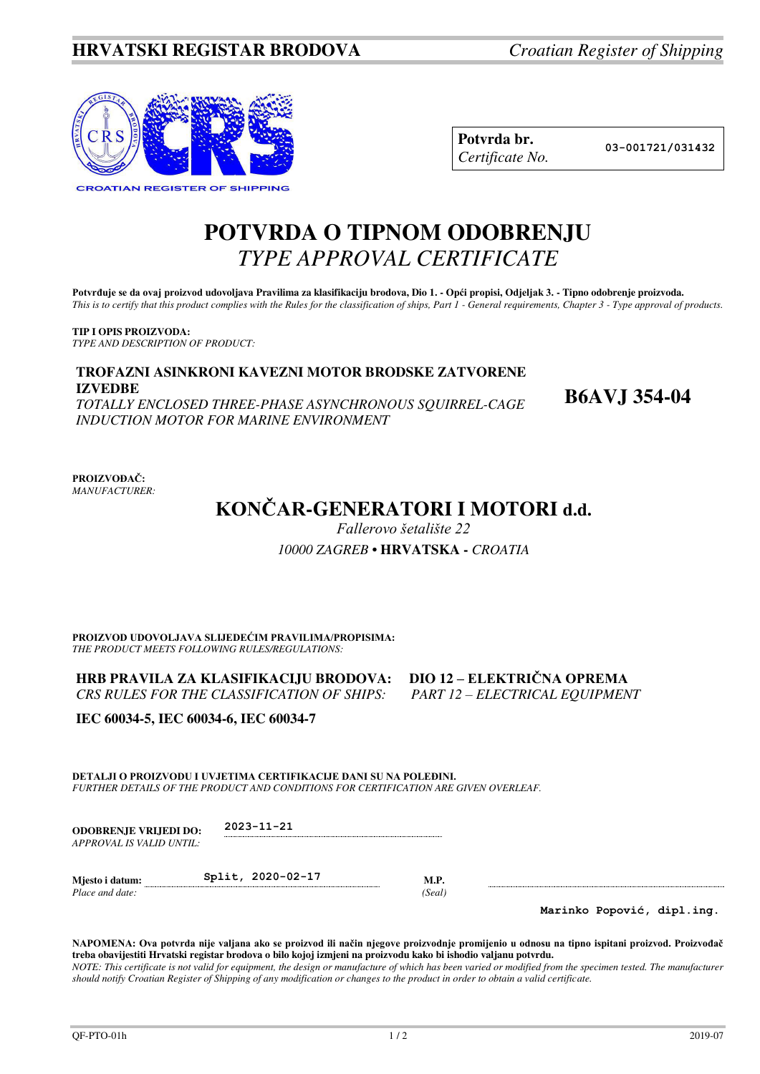

| Potvrda br.     |
|-----------------|
| Certificate No. |

**Potvrda br. 03-001721/031432**

## **POTVRDA O TIPNOM ODOBRENJU**  *TYPE APPROVAL CERTIFICATE*

Potvrđuje se da ovaj proizvod udovoljava Pravilima za klasifikaciju brodova, Dio 1. - Opći propisi, Odjeljak 3. - Tipno odobrenje proizvoda. *This is to certify that this product complies with the Rules for the classification of ships, Part 1 - General requirements, Chapter 3 - Type approval of products.* 

**TIP I OPIS PROIZVODA:** *TYPE AND DESCRIPTION OF PRODUCT:* 

## **TROFAZNI ASINKRONI KAVEZNI MOTOR BRODSKE ZATVORENE IZVEDBE B6AVJ 354-04** *TOTALLY ENCLOSED THREE-PHASE ASYNCHRONOUS SQUIRREL-CAGE*

*INDUCTION MOTOR FOR MARINE ENVIRONMENT*

**PROIZVOĐAČ:** *MANUFACTURER:*

# **KONČAR-GENERATORI I MOTORI d.d.**

*Fallerovo šetalište 22*

*10000 ZAGREB* **• HRVATSKA -** *CROATIA* 

**PROIZVOD UDOVOLJAVA SLIJEDEĆIM PRAVILIMA/PROPISIMA:** *THE PRODUCT MEETS FOLLOWING RULES/REGULATIONS:* 

**HRB PRAVILA ZA KLASIFIKACIJU BRODOVA: DIO 12 – ELEKTRIČNA OPREMA** *CRS RULES FOR THE CLASSIFICATION OF SHIPS: PART 12 – ELECTRICAL EQUIPMENT* 

**IEC 60034-5, IEC 60034-6, IEC 60034-7** 

**DETALJI O PROIZVODU I UVJETIMA CERTIFIKACIJE DANI SU NA POLEĐINI.** *FURTHER DETAILS OF THE PRODUCT AND CONDITIONS FOR CERTIFICATION ARE GIVEN OVERLEAF.* 

**ODOBRENJE VRIJEDI DO: 2023-11-21**  *APPROVAL IS VALID UNTIL:*

**Mjesto i datum: Split, 2020-02-17 M.P.**  *Place and date: (Seal)* 

**Marinko Popović, dipl.ing.**

**NAPOMENA: Ova potvrda nije valjana ako se proizvod ili način njegove proizvodnje promijenio u odnosu na tipno ispitani proizvod. Proizvođač treba obavijestiti Hrvatski registar brodova o bilo kojoj izmjeni na proizvodu kako bi ishodio valjanu potvrdu.**  *NOTE: This certificate is not valid for equipment, the design or manufacture of which has been varied or modified from the specimen tested. The manufacturer should notify Croatian Register of Shipping of any modification or changes to the product in order to obtain a valid certificate.*